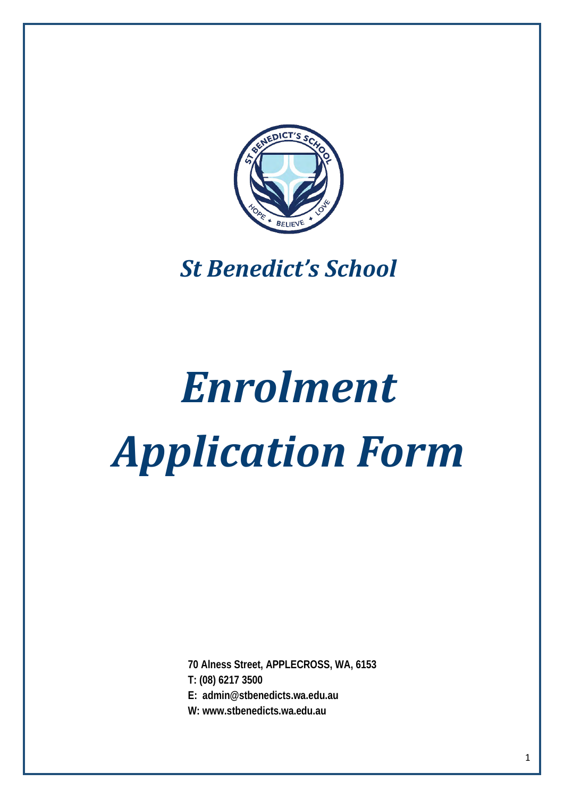

## *St Benedict's School*

# *Enrolment Application Form*

**70 Alness Street, APPLECROSS, WA, 6153**

**T: (08) 6217 3500**

**E: [admin@stbenedicts.wa.edu.au](mailto:admin@stbenedicts.wa.edu.au)** 

**W: www.stbenedicts.wa.edu.au**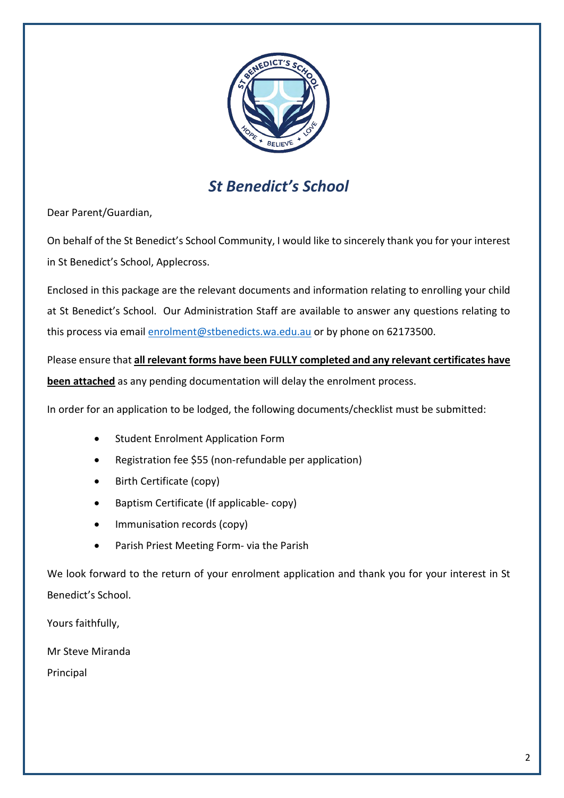

## *St Benedict's School*

Dear Parent/Guardian,

On behalf of the St Benedict's School Community, I would like to sincerely thank you for your interest in St Benedict's School, Applecross.

Enclosed in this package are the relevant documents and information relating to enrolling your child at St Benedict's School. Our Administration Staff are available to answer any questions relating to this process via email [enrolment@stbenedicts.wa.edu.au](mailto:enrolment@stbenedicts.wa.edu.au) or by phone on 62173500.

Please ensure that **all relevant forms have been FULLY completed and any relevant certificates have been attached** as any pending documentation will delay the enrolment process.

In order for an application to be lodged, the following documents/checklist must be submitted:

- Student Enrolment Application Form
- Registration fee \$55 (non-refundable per application)
- Birth Certificate (copy)
- Baptism Certificate (If applicable- copy)
- Immunisation records (copy)
- Parish Priest Meeting Form- via the Parish

We look forward to the return of your enrolment application and thank you for your interest in St Benedict's School.

Yours faithfully,

Mr Steve Miranda

Principal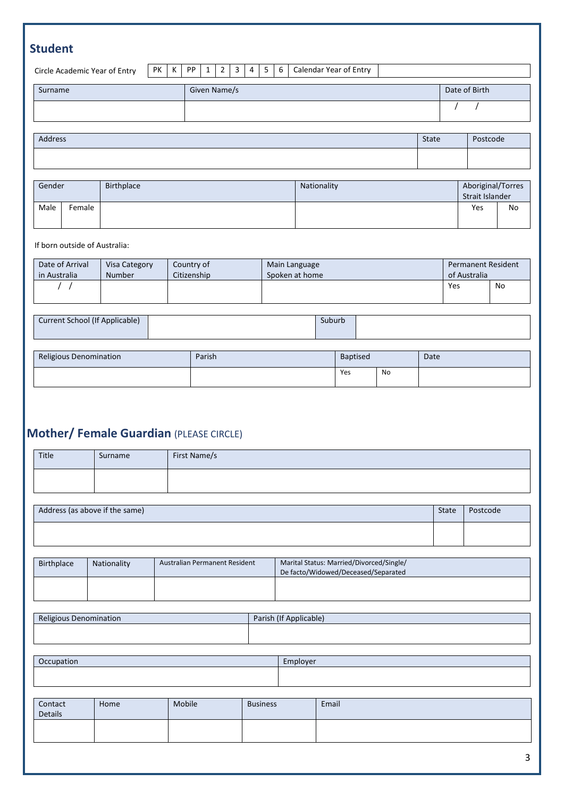| <b>Student</b>       |                               |    |             |    |              |                |   |                |                                      |               |                        |  |     |    |
|----------------------|-------------------------------|----|-------------|----|--------------|----------------|---|----------------|--------------------------------------|---------------|------------------------|--|-----|----|
|                      | Circle Academic Year of Entry | PK | K           | PP | $1\vert$     | $\overline{2}$ | 3 | $\overline{4}$ | 5                                    | 6             | Calendar Year of Entry |  |     |    |
| Surname              |                               |    |             |    | Given Name/s |                |   |                |                                      | Date of Birth |                        |  |     |    |
|                      |                               |    |             |    |              |                |   |                |                                      |               |                        |  |     |    |
|                      |                               |    |             |    |              |                |   |                |                                      |               |                        |  |     |    |
| Address              |                               |    |             |    |              |                |   | State          | Postcode                             |               |                        |  |     |    |
|                      |                               |    |             |    |              |                |   |                |                                      |               |                        |  |     |    |
|                      |                               |    |             |    |              |                |   |                |                                      |               |                        |  |     |    |
| Gender<br>Birthplace |                               |    | Nationality |    |              |                |   |                | Aboriginal/Torres<br>Strait Islander |               |                        |  |     |    |
| Male                 | Female                        |    |             |    |              |                |   |                |                                      |               |                        |  | Yes | No |
|                      |                               |    |             |    |              |                |   |                |                                      |               |                        |  |     |    |

| Date of Arrival | Visa Category<br>Countrv of |             | Main Language  | <b>Permanent Resident</b> |    |
|-----------------|-----------------------------|-------------|----------------|---------------------------|----|
| in Australia    | Number                      | Citizenship | Spoken at home | of Australia              |    |
|                 |                             |             |                | Yes                       | No |
|                 |                             |             |                |                           |    |

| Current School (If Applicable) | Suburb |  |
|--------------------------------|--------|--|
|                                |        |  |

| Religious Denomination | Parish | <b>Baptised</b> |    | Date |
|------------------------|--------|-----------------|----|------|
|                        |        | Yes             | No |      |

## **Mother/ Female Guardian** (PLEASE CIRCLE)

| Title      | Surname                        | First Name/s                  |  |                                                                                 |       |          |
|------------|--------------------------------|-------------------------------|--|---------------------------------------------------------------------------------|-------|----------|
|            |                                |                               |  |                                                                                 |       |          |
|            | Address (as above if the same) |                               |  |                                                                                 | State | Postcode |
|            |                                |                               |  |                                                                                 |       |          |
| Birthplace | Nationality                    | Australian Permanent Resident |  | Marital Status: Married/Divorced/Single/<br>De facto/Widowed/Deceased/Separated |       |          |
|            |                                |                               |  |                                                                                 |       |          |
|            | Religious Denomination         |                               |  | Parish (If Applicable)                                                          |       |          |
|            |                                |                               |  |                                                                                 |       |          |
| Occupation |                                |                               |  | Employer                                                                        |       |          |
|            |                                |                               |  |                                                                                 |       |          |

| Contact<br>Details | Home | Mobile | <b>Business</b> | Email |
|--------------------|------|--------|-----------------|-------|
|                    |      |        |                 |       |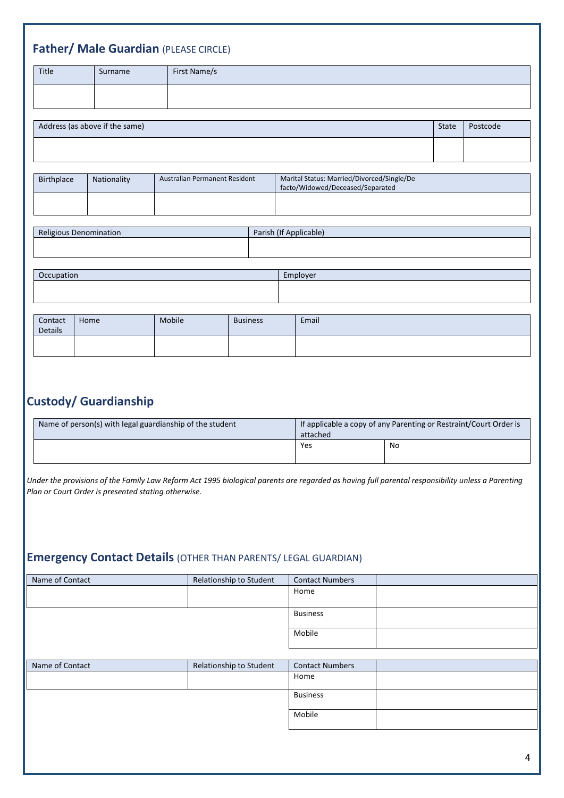| Title          | Surname                        | First Name/s                  |                 |                        |                                                                                |              |          |
|----------------|--------------------------------|-------------------------------|-----------------|------------------------|--------------------------------------------------------------------------------|--------------|----------|
|                |                                |                               |                 |                        |                                                                                |              |          |
|                | Address (as above if the same) |                               |                 |                        |                                                                                | <b>State</b> | Postcode |
|                |                                |                               |                 |                        |                                                                                |              |          |
|                |                                |                               |                 |                        |                                                                                |              |          |
| Birthplace     | Nationality                    | Australian Permanent Resident |                 |                        | Marital Status: Married/Divorced/Single/De<br>facto/Widowed/Deceased/Separated |              |          |
|                |                                |                               |                 |                        |                                                                                |              |          |
|                | Religious Denomination         |                               |                 | Parish (If Applicable) |                                                                                |              |          |
|                |                                |                               |                 |                        |                                                                                |              |          |
| Occupation     |                                |                               |                 | Employer               |                                                                                |              |          |
|                |                                |                               |                 |                        |                                                                                |              |          |
| Contact        | Home                           | Mobile                        | <b>Business</b> |                        | Email                                                                          |              |          |
| <b>Details</b> |                                |                               |                 |                        |                                                                                |              |          |

## **Custody/ Guardianship**

| Name of person(s) with legal guardianship of the student | If applicable a copy of any Parenting or Restraint/Court Order is<br>attached |    |  |  |
|----------------------------------------------------------|-------------------------------------------------------------------------------|----|--|--|
|                                                          | Yes                                                                           | No |  |  |

*Under the provisions of the Family Law Reform Act 1995 biological parents are regarded as having full parental responsibility unless a Parenting Plan or Court Order is presented stating otherwise.*

## **Emergency Contact Details** (OTHER THAN PARENTS/ LEGAL GUARDIAN)

| Name of Contact | Relationship to Student | <b>Contact Numbers</b> |
|-----------------|-------------------------|------------------------|
|                 |                         | Home                   |
|                 |                         |                        |
|                 |                         | <b>Business</b>        |
|                 |                         |                        |
|                 |                         | Mobile                 |
|                 |                         |                        |
|                 |                         |                        |
| Name of Contact | Relationship to Student | <b>Contact Numbers</b> |
|                 |                         | Home                   |
|                 |                         | <b>Business</b>        |
|                 |                         | Mobile                 |
|                 |                         |                        |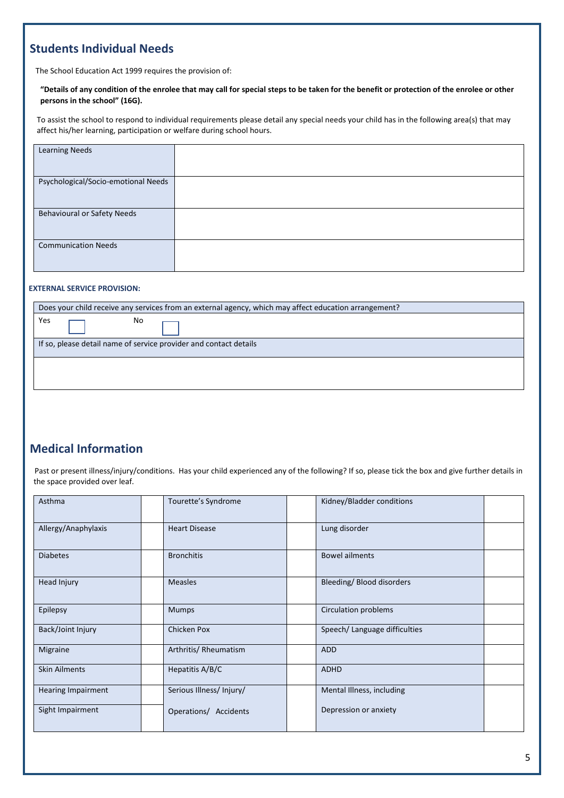#### **Students Individual Needs**

The School Education Act 1999 requires the provision of:

#### **"Details of any condition of the enrolee that may call for special steps to be taken for the benefit or protection of the enrolee or other persons in the school" (16G).**

To assist the school to respond to individual requirements please detail any special needs your child has in the following area(s) that may affect his/her learning, participation or welfare during school hours.

| <b>Learning Needs</b>               |  |
|-------------------------------------|--|
| Psychological/Socio-emotional Needs |  |
| <b>Behavioural or Safety Needs</b>  |  |
| <b>Communication Needs</b>          |  |

#### **EXTERNAL SERVICE PROVISION:**

| Does your child receive any services from an external agency, which may affect education arrangement? |  |  |  |  |
|-------------------------------------------------------------------------------------------------------|--|--|--|--|
| Yes<br>No                                                                                             |  |  |  |  |
| If so, please detail name of service provider and contact details                                     |  |  |  |  |
|                                                                                                       |  |  |  |  |
|                                                                                                       |  |  |  |  |

#### **Medical Information**

Past or present illness/injury/conditions. Has your child experienced any of the following? If so, please tick the box and give further details in the space provided over leaf.

| Asthma                    | Tourette's Syndrome      | Kidney/Bladder conditions     |
|---------------------------|--------------------------|-------------------------------|
| Allergy/Anaphylaxis       | <b>Heart Disease</b>     | Lung disorder                 |
| <b>Diabetes</b>           | <b>Bronchitis</b>        | <b>Bowel ailments</b>         |
| Head Injury               | <b>Measles</b>           | Bleeding/Blood disorders      |
| Epilepsy                  | <b>Mumps</b>             | <b>Circulation problems</b>   |
| Back/Joint Injury         | Chicken Pox              | Speech/ Language difficulties |
| Migraine                  | Arthritis/ Rheumatism    | <b>ADD</b>                    |
| <b>Skin Ailments</b>      | Hepatitis A/B/C          | <b>ADHD</b>                   |
| <b>Hearing Impairment</b> | Serious Illness/ Injury/ | Mental Illness, including     |
| Sight Impairment          | Operations/ Accidents    | Depression or anxiety         |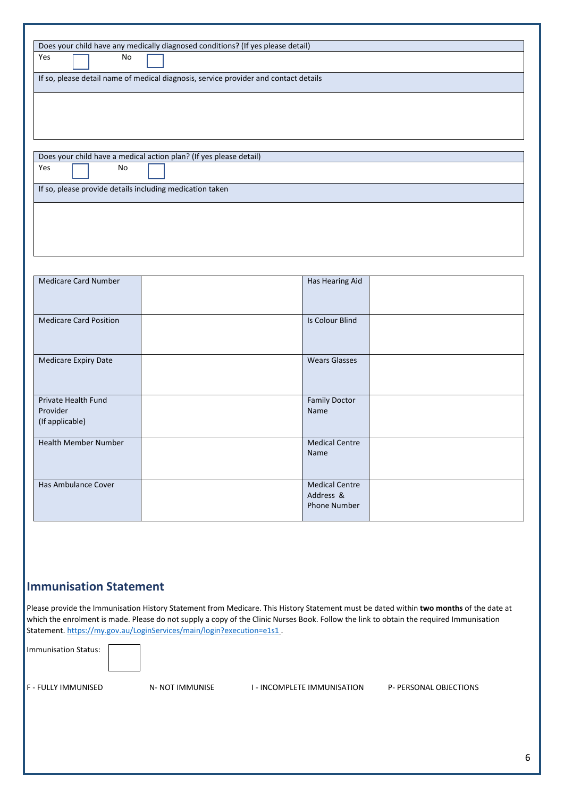|                               | Does your child have any medically diagnosed conditions? (If yes please detail)      |                        |  |
|-------------------------------|--------------------------------------------------------------------------------------|------------------------|--|
| Yes<br>No                     |                                                                                      |                        |  |
|                               | If so, please detail name of medical diagnosis, service provider and contact details |                        |  |
|                               |                                                                                      |                        |  |
|                               |                                                                                      |                        |  |
|                               |                                                                                      |                        |  |
|                               |                                                                                      |                        |  |
|                               |                                                                                      |                        |  |
|                               | Does your child have a medical action plan? (If yes please detail)                   |                        |  |
| Yes<br>No                     |                                                                                      |                        |  |
|                               | If so, please provide details including medication taken                             |                        |  |
|                               |                                                                                      |                        |  |
|                               |                                                                                      |                        |  |
|                               |                                                                                      |                        |  |
|                               |                                                                                      |                        |  |
|                               |                                                                                      |                        |  |
|                               |                                                                                      |                        |  |
|                               |                                                                                      |                        |  |
| <b>Medicare Card Number</b>   |                                                                                      | Has Hearing Aid        |  |
|                               |                                                                                      |                        |  |
|                               |                                                                                      |                        |  |
| <b>Medicare Card Position</b> |                                                                                      | <b>Is Colour Blind</b> |  |
|                               |                                                                                      |                        |  |
|                               |                                                                                      |                        |  |
| <b>Medicare Expiry Date</b>   |                                                                                      | <b>Wears Glasses</b>   |  |
|                               |                                                                                      |                        |  |
|                               |                                                                                      |                        |  |
| Private Health Fund           |                                                                                      | <b>Family Doctor</b>   |  |
| Provider                      |                                                                                      | Name                   |  |
| (If applicable)               |                                                                                      |                        |  |
| <b>Health Member Number</b>   |                                                                                      | <b>Medical Centre</b>  |  |
|                               |                                                                                      | Name                   |  |

#### **Immunisation Statement**

Please provide the Immunisation History Statement from Medicare. This History Statement must be dated within **two months** of the date at which the enrolment is made. Please do not supply a copy of the Clinic Nurses Book. Follow the link to obtain the required Immunisation Statement.<https://my.gov.au/LoginServices/main/login?execution=e1s1> .

Immunisation Status:

Has Ambulance Cover **Medical Centre** 

F - FULLY IMMUNISED N- NOT IMMUNISE I - INCOMPLETE IMMUNISATION P- PERSONAL OBJECTIONS

Address & Phone Number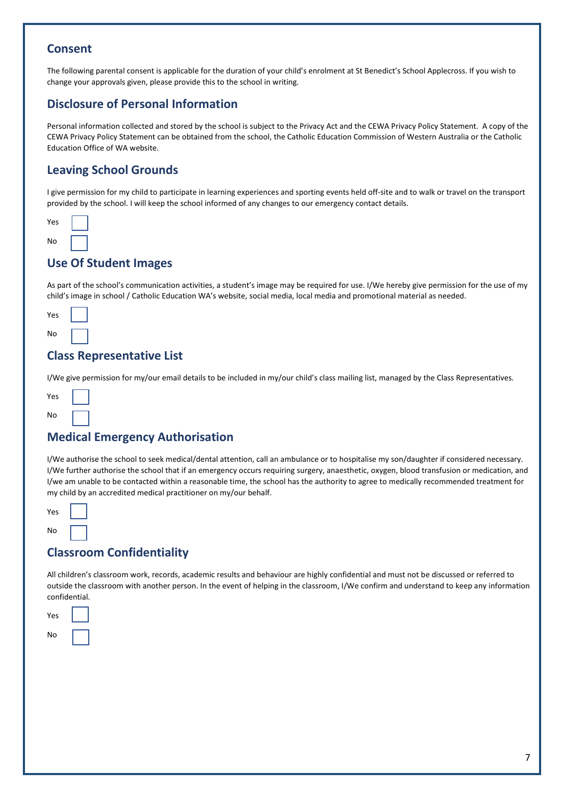#### **Consent**

The following parental consent is applicable for the duration of your child's enrolment at St Benedict's School Applecross. If you wish to change your approvals given, please provide this to the school in writing.

#### **Disclosure of Personal Information**

Personal information collected and stored by the school is subject to the Privacy Act and the CEWA Privacy Policy Statement. A copy of the CEWA Privacy Policy Statement can be obtained from the school, the Catholic Education Commission of Western Australia or the Catholic Education Office of WA website.

#### **Leaving School Grounds**

I give permission for my child to participate in learning experiences and sporting events held off-site and to walk or travel on the transport provided by the school. I will keep the school informed of any changes to our emergency contact details.



#### **Use Of Student Images**

As part of the school's communication activities, a student's image may be required for use. I/We hereby give permission for the use of my child's image in school / Catholic Education WA's website, social media, local media and promotional material as needed.



#### **Class Representative List**

I/We give permission for my/our email details to be included in my/our child's class mailing list, managed by the Class Representatives.



#### **Medical Emergency Authorisation**

I/We authorise the school to seek medical/dental attention, call an ambulance or to hospitalise my son/daughter if considered necessary. I/We further authorise the school that if an emergency occurs requiring surgery, anaesthetic, oxygen, blood transfusion or medication, and I/we am unable to be contacted within a reasonable time, the school has the authority to agree to medically recommended treatment for my child by an accredited medical practitioner on my/our behalf.

| Yes |  |
|-----|--|
| N٥  |  |

#### **Classroom Confidentiality**

All children's classroom work, records, academic results and behaviour are highly confidential and must not be discussed or referred to outside the classroom with another person. In the event of helping in the classroom, I/We confirm and understand to keep any information confidential.

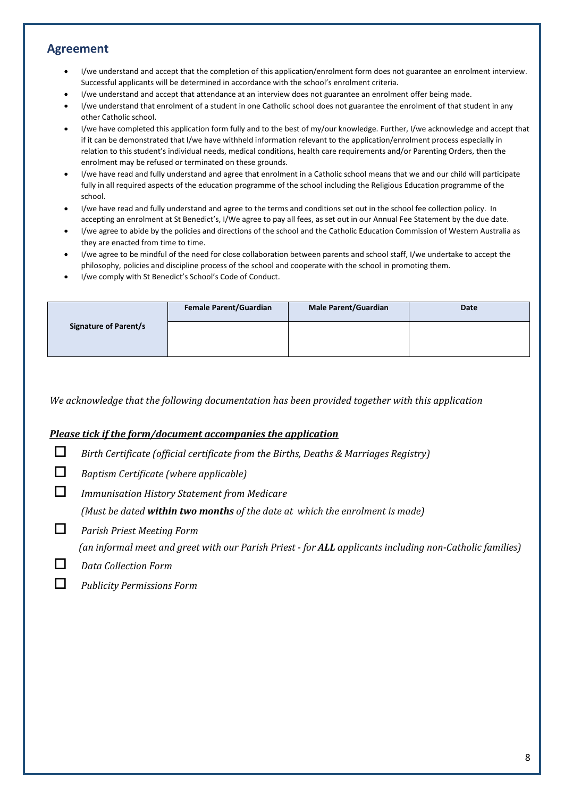#### **Agreement**

- I/we understand and accept that the completion of this application/enrolment form does not guarantee an enrolment interview. Successful applicants will be determined in accordance with the school's enrolment criteria.
- I/we understand and accept that attendance at an interview does not guarantee an enrolment offer being made.
- I/we understand that enrolment of a student in one Catholic school does not guarantee the enrolment of that student in any other Catholic school.
- I/we have completed this application form fully and to the best of my/our knowledge. Further, I/we acknowledge and accept that if it can be demonstrated that I/we have withheld information relevant to the application/enrolment process especially in relation to this student's individual needs, medical conditions, health care requirements and/or Parenting Orders, then the enrolment may be refused or terminated on these grounds.
- I/we have read and fully understand and agree that enrolment in a Catholic school means that we and our child will participate fully in all required aspects of the education programme of the school including the Religious Education programme of the school.
- I/we have read and fully understand and agree to the terms and conditions set out in the school fee collection policy. In accepting an enrolment at St Benedict's, I/We agree to pay all fees, as set out in our Annual Fee Statement by the due date.
- I/we agree to abide by the policies and directions of the school and the Catholic Education Commission of Western Australia as they are enacted from time to time.
- I/we agree to be mindful of the need for close collaboration between parents and school staff, I/we undertake to accept the philosophy, policies and discipline process of the school and cooperate with the school in promoting them.
- I/we comply with St Benedict's School's Code of Conduct.

|                              | <b>Female Parent/Guardian</b> | <b>Male Parent/Guardian</b> | Date |
|------------------------------|-------------------------------|-----------------------------|------|
| <b>Signature of Parent/s</b> |                               |                             |      |

 *We acknowledge that the following documentation has been provided together with this application* 

#### *Please tick if the form/document accompanies the application*

- *Birth Certificate (official certificate from the Births, Deaths & Marriages Registry)*
- *Baptism Certificate (where applicable)*
- *Immunisation History Statement from Medicare*

 *(Must be dated within two months of the date at which the enrolment is made)*

*Parish Priest Meeting Form* 

 *(an informal meet and greet with our Parish Priest - for ALL applicants including non-Catholic families)* 

#### *Data Collection Form*

*Publicity Permissions Form*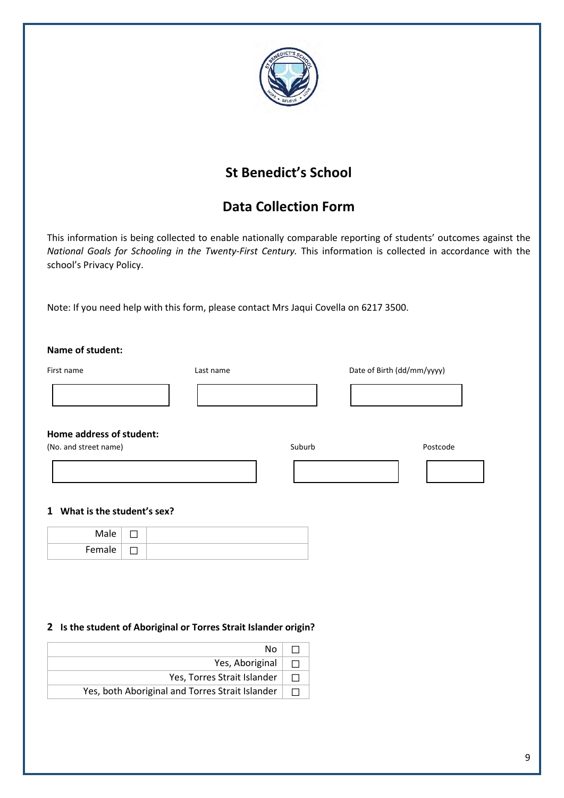

## **St Benedict's School**

## **Data Collection Form**

This information is being collected to enable nationally comparable reporting of students' outcomes against the *National Goals for Schooling in the Twenty-First Century.* This information is collected in accordance with the school's Privacy Policy.

Note: If you need help with this form, please contact Mrs Jaqui Covella on 6217 3500.

| First name                                                       | Last name                   |        | Date of Birth (dd/mm/yyyy) |          |
|------------------------------------------------------------------|-----------------------------|--------|----------------------------|----------|
|                                                                  |                             |        |                            |          |
| Home address of student:<br>(No. and street name)                |                             | Suburb |                            | Postcode |
|                                                                  |                             |        |                            |          |
| What is the student's sex?                                       |                             |        |                            |          |
| Male<br>□                                                        |                             |        |                            |          |
| Female<br>П                                                      |                             |        |                            |          |
| 2 Is the student of Aboriginal or Torres Strait Islander origin? |                             |        |                            |          |
|                                                                  | No                          | $\Box$ |                            |          |
|                                                                  | Yes, Aboriginal             | $\Box$ |                            |          |
|                                                                  |                             |        |                            |          |
|                                                                  | Yes, Torres Strait Islander | $\Box$ |                            |          |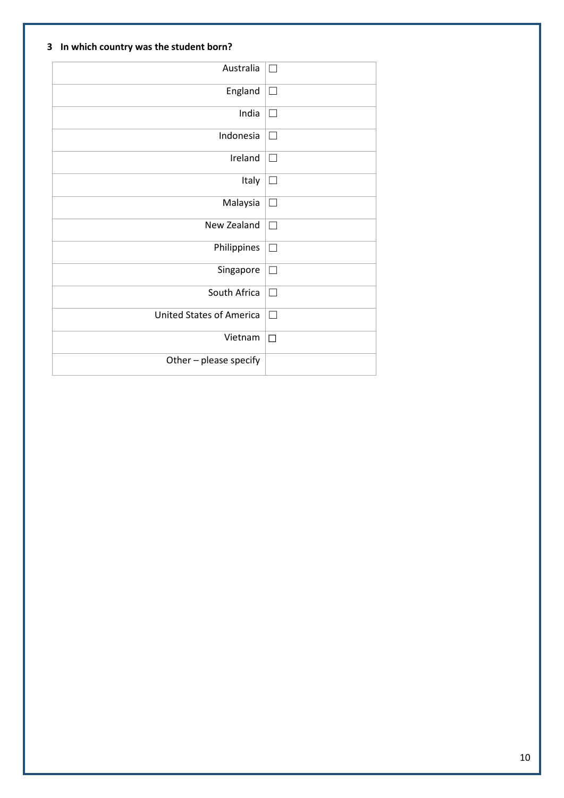#### **3 In which country was the student born?**

| Australia                       | П      |
|---------------------------------|--------|
| England                         | $\Box$ |
| India                           | П      |
| Indonesia                       | $\Box$ |
| Ireland                         | П      |
| Italy                           | $\Box$ |
| Malaysia                        | $\Box$ |
| New Zealand                     | П      |
| Philippines                     | $\Box$ |
| Singapore                       | $\Box$ |
| South Africa                    | $\Box$ |
| <b>United States of America</b> | П      |
| Vietnam                         | $\Box$ |
| Other - please specify          |        |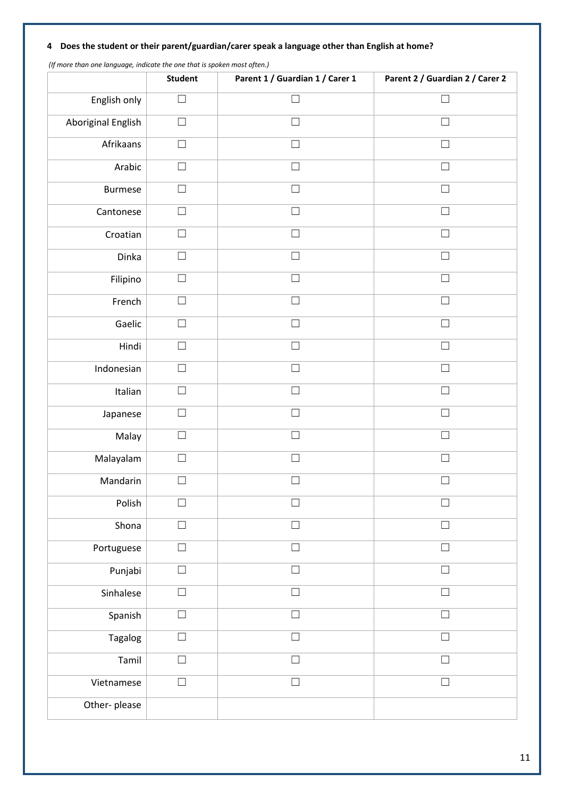#### **4 Does the student or their parent/guardian/carer speak a language other than English at home?**

| (i) more than one language, malcule the one that is spoken most often.) | <b>Student</b> | Parent 1 / Guardian 1 / Carer 1 | Parent 2 / Guardian 2 / Carer 2 |
|-------------------------------------------------------------------------|----------------|---------------------------------|---------------------------------|
| English only                                                            | $\Box$         | $\Box$                          | $\Box$                          |
| Aboriginal English                                                      | $\Box$         | $\Box$                          | $\Box$                          |
| Afrikaans                                                               | $\Box$         | $\Box$                          | $\Box$                          |
| Arabic                                                                  | $\Box$         | $\Box$                          | $\Box$                          |
| <b>Burmese</b>                                                          | $\Box$         | $\Box$                          | $\Box$                          |
| Cantonese                                                               | $\Box$         | $\Box$                          | $\Box$                          |
| Croatian                                                                | $\Box$         | $\Box$                          | $\Box$                          |
| Dinka                                                                   | $\Box$         | $\Box$                          | $\Box$                          |
| Filipino                                                                | $\Box$         | $\Box$                          | $\Box$                          |
| French                                                                  | □              | $\Box$                          | $\Box$                          |
| Gaelic                                                                  | $\Box$         | $\Box$                          | $\Box$                          |
| Hindi                                                                   | $\Box$         | $\Box$                          | $\Box$                          |
| Indonesian                                                              | $\Box$         | $\Box$                          | $\Box$                          |
| Italian                                                                 | $\Box$         | $\Box$                          | $\Box$                          |
| Japanese                                                                | $\Box$         | $\Box$                          | $\Box$                          |
| Malay                                                                   | ⊔              | $\Box$                          | П                               |
| Malayalam                                                               | $\mathcal{L}$  | $\overline{\phantom{0}}$        |                                 |
| Mandarin                                                                | $\Box$         |                                 |                                 |
| Polish                                                                  | Г              | П                               | Г                               |
| Shona                                                                   | $\Box$         | $\Box$                          | $\Box$                          |
| Portuguese                                                              | $\Box$         | $\Box$                          | $\Box$                          |
| Punjabi                                                                 | $\Box$         | $\Box$                          | $\Box$                          |
| Sinhalese                                                               | $\Box$         | $\Box$                          | $\Box$                          |
| Spanish                                                                 | $\Box$         | $\Box$                          | $\Box$                          |
| Tagalog                                                                 | $\Box$         | $\Box$                          | $\Box$                          |
| Tamil                                                                   | $\Box$         | $\Box$                          | $\Box$                          |
| Vietnamese                                                              | $\Box$         | $\Box$                          | $\Box$                          |
| Other-please                                                            |                |                                 |                                 |

 *(If more than one language, indicate the one that is spoken most often.)*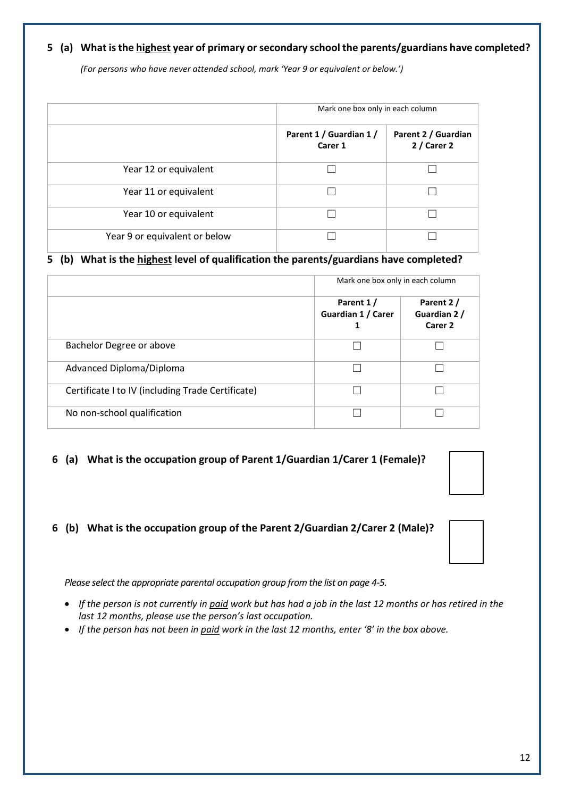#### **5 (a) What is the highest year of primary or secondary school the parents/guardians have completed?**

*(For persons who have never attended school, mark 'Year 9 or equivalent or below.')*

|                               | Mark one box only in each column   |                                     |  |
|-------------------------------|------------------------------------|-------------------------------------|--|
|                               | Parent 1 / Guardian 1 /<br>Carer 1 | Parent 2 / Guardian<br>$2/$ Carer 2 |  |
| Year 12 or equivalent         |                                    |                                     |  |
| Year 11 or equivalent         |                                    |                                     |  |
| Year 10 or equivalent         |                                    |                                     |  |
| Year 9 or equivalent or below |                                    |                                     |  |

#### **5 (b) What is the highest level of qualification the parents/guardians have completed?**

|                                                   |                                      | Mark one box only in each column                |  |  |
|---------------------------------------------------|--------------------------------------|-------------------------------------------------|--|--|
|                                                   | Parent 1/<br>Guardian 1 / Carer<br>1 | Parent 2/<br>Guardian 2 /<br>Carer <sub>2</sub> |  |  |
| Bachelor Degree or above                          |                                      |                                                 |  |  |
| Advanced Diploma/Diploma                          |                                      |                                                 |  |  |
| Certificate I to IV (including Trade Certificate) |                                      |                                                 |  |  |
| No non-school qualification                       |                                      |                                                 |  |  |

#### **6 (a) What is the occupation group of Parent 1/Guardian 1/Carer 1 (Female)?**

#### **6 (b) What is the occupation group of the Parent 2/Guardian 2/Carer 2 (Male)?**

*Please select the appropriate parental occupation group from the list on page 4-5.*

- *If the person is not currently in paid work but has had a job in the last 12 months or has retired in the last 12 months, please use the person's last occupation.*
- *If the person has not been in paid work in the last 12 months, enter '8' in the box above.*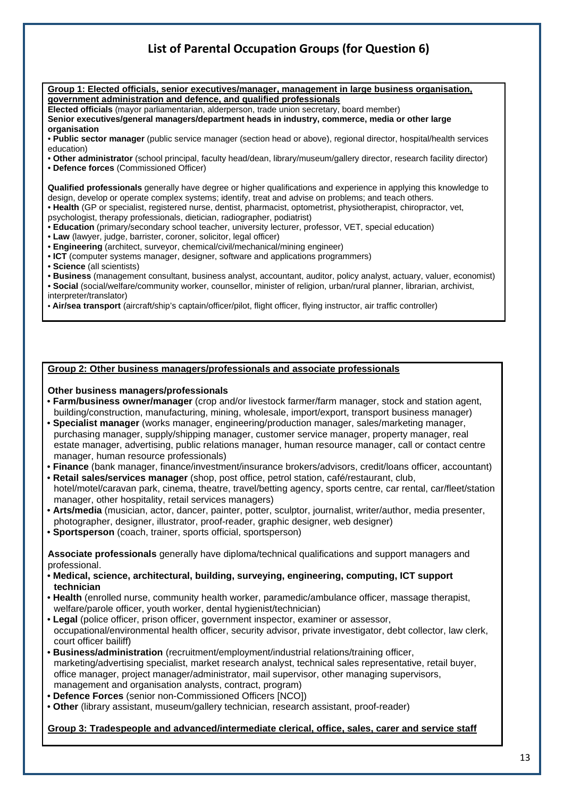### **List of Parental Occupation Groups (for Question 6)**

**Group 1: Elected officials, senior executives/manager, management in large business organisation, government administration and defence, and qualified professionals** 

**Elected officials** (mayor parliamentarian, alderperson, trade union secretary, board member)

**Senior executives/general managers/department heads in industry, commerce, media or other large organisation** 

• **Public sector manager** (public service manager (section head or above), regional director, hospital/health services education)

• **Other administrator** (school principal, faculty head/dean, library/museum/gallery director, research facility director)

• **Defence forces** (Commissioned Officer)

**Qualified professionals** generally have degree or higher qualifications and experience in applying this knowledge to design, develop or operate complex systems; identify, treat and advise on problems; and teach others.

- **Health** (GP or specialist, registered nurse, dentist, pharmacist, optometrist, physiotherapist, chiropractor, vet,
- psychologist, therapy professionals, dietician, radiographer, podiatrist)
- **Education** (primary/secondary school teacher, university lecturer, professor, VET, special education)
- **Law** (lawyer, judge, barrister, coroner, solicitor, legal officer)
- **Engineering** (architect, surveyor, chemical/civil/mechanical/mining engineer)
- **ICT** (computer systems manager, designer, software and applications programmers)
- **Science** (all scientists)
- **Business** (management consultant, business analyst, accountant, auditor, policy analyst, actuary, valuer, economist)
- **Social** (social/welfare/community worker, counsellor, minister of religion, urban/rural planner, librarian, archivist, interpreter/translator)

• **Air/sea transport** (aircraft/ship's captain/officer/pilot, flight officer, flying instructor, air traffic controller)

#### **Group 2: Other business managers/professionals and associate professionals**

#### **Other business managers/professionals**

- **Farm/business owner/manager** (crop and/or livestock farmer/farm manager, stock and station agent, building/construction, manufacturing, mining, wholesale, import/export, transport business manager)
- **Specialist manager** (works manager, engineering/production manager, sales/marketing manager, purchasing manager, supply/shipping manager, customer service manager, property manager, real estate manager, advertising, public relations manager, human resource manager, call or contact centre manager, human resource professionals)
- **Finance** (bank manager, finance/investment/insurance brokers/advisors, credit/loans officer, accountant)
- **Retail sales/services manager** (shop, post office, petrol station, café/restaurant, club, hotel/motel/caravan park, cinema, theatre, travel/betting agency, sports centre, car rental, car/fleet/station manager, other hospitality, retail services managers)
- **Arts/media** (musician, actor, dancer, painter, potter, sculptor, journalist, writer/author, media presenter, photographer, designer, illustrator, proof-reader, graphic designer, web designer)
- **Sportsperson** (coach, trainer, sports official, sportsperson)

**Associate professionals** generally have diploma/technical qualifications and support managers and professional.

- **Medical, science, architectural, building, surveying, engineering, computing, ICT support technician**
- **Health** (enrolled nurse, community health worker, paramedic/ambulance officer, massage therapist, welfare/parole officer, youth worker, dental hygienist/technician)
- **Legal** (police officer, prison officer, government inspector, examiner or assessor, occupational/environmental health officer, security advisor, private investigator, debt collector, law clerk, court officer bailiff)
- **Business/administration** (recruitment/employment/industrial relations/training officer, marketing/advertising specialist, market research analyst, technical sales representative, retail buyer, office manager, project manager/administrator, mail supervisor, other managing supervisors, management and organisation analysts, contract, program)
- **Defence Forces** (senior non-Commissioned Officers [NCO])
- **Other** (library assistant, museum/gallery technician, research assistant, proof-reader)

#### **Group 3: Tradespeople and advanced/intermediate clerical, office, sales, carer and service staff**